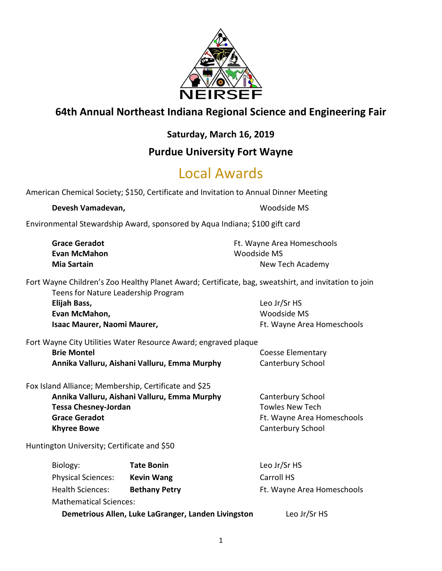

### **64th Annual Northeast Indiana Regional Science and Engineering Fair**

### **Saturday, March 16, 2019**

### **Purdue University Fort Wayne**

# Local Awards

American Chemical Society; \$150, Certificate and Invitation to Annual Dinner Meeting

#### **Devesh Vamadevan, Namadevan, Namadevan, Namadevan, Namadevan, Namadevan, Namadevan, Namadevan, Namadevan, Nama**

Environmental Stewardship Award, sponsored by Aqua Indiana; \$100 gift card

| <b>Grace Geradot</b> | Ft. Wayne Area Homeschools |
|----------------------|----------------------------|
| Evan McMahon         | Woodside MS                |
| Mia Sartain          | New Tech Academy           |

Fort Wayne Children's Zoo Healthy Planet Award; Certificate, bag, sweatshirt, and invitation to join Teens for Nature Leadership Program

**Elijah Bass,** Leo Jr/Sr HS **Evan McMahon,** Woodside MS

**Isaac Maurer, Naomi Maurer, National Area Homeschools** Ft. Wayne Area Homeschools

Fort Wayne City Utilities Water Resource Award; engraved plaque

**Brie Montel Brie Montel Coesse Elementary Annika Valluru, Aishani Valluru, Emma Murphy Canterbury School** 

Fox Island Alliance; Membership, Certificate and \$25

**Annika Valluru, Aishani Valluru, Emma Murphy** Canterbury School **Tessa Chesney-Jordan** Tessa Chesney-Jordan Tessa Chesney-Jordan Tessa Towles New Tech Grace Geradot **Ft. Wayne Area Homeschools Khyree Bowe** Canterbury School

Huntington University; Certificate and \$50

| Biology:                      | <b>Tate Bonin</b>                                   | Leo Jr/Sr HS               |
|-------------------------------|-----------------------------------------------------|----------------------------|
| <b>Physical Sciences:</b>     | <b>Kevin Wang</b>                                   | Carroll HS                 |
| <b>Health Sciences:</b>       | <b>Bethany Petry</b>                                | Ft. Wayne Area Homeschools |
| <b>Mathematical Sciences:</b> |                                                     |                            |
|                               | Demetrious Allen, Luke LaGranger, Landen Livingston | Leo Jr/Sr HS               |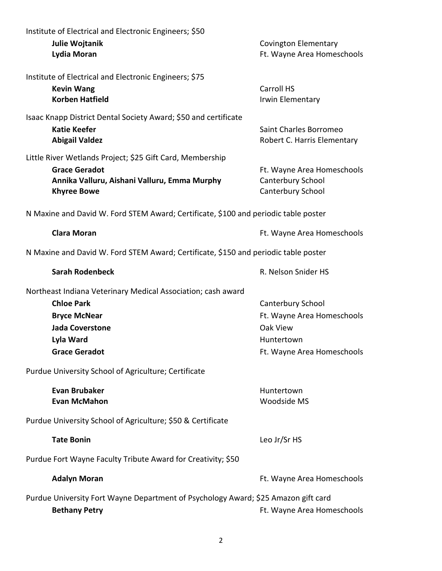| Institute of Electrical and Electronic Engineers; \$50<br>Julie Wojtanik<br>Lydia Moran                                                                                 | <b>Covington Elementary</b><br>Ft. Wayne Area Homeschools                                               |
|-------------------------------------------------------------------------------------------------------------------------------------------------------------------------|---------------------------------------------------------------------------------------------------------|
| Institute of Electrical and Electronic Engineers; \$75<br><b>Kevin Wang</b><br><b>Korben Hatfield</b>                                                                   | Carroll HS<br>Irwin Elementary                                                                          |
| Isaac Knapp District Dental Society Award; \$50 and certificate<br><b>Katie Keefer</b><br><b>Abigail Valdez</b>                                                         | Saint Charles Borromeo<br>Robert C. Harris Elementary                                                   |
| Little River Wetlands Project; \$25 Gift Card, Membership<br><b>Grace Geradot</b><br>Annika Valluru, Aishani Valluru, Emma Murphy<br><b>Khyree Bowe</b>                 | Ft. Wayne Area Homeschools<br>Canterbury School<br>Canterbury School                                    |
| N Maxine and David W. Ford STEM Award; Certificate, \$100 and periodic table poster                                                                                     |                                                                                                         |
| <b>Clara Moran</b>                                                                                                                                                      | Ft. Wayne Area Homeschools                                                                              |
| N Maxine and David W. Ford STEM Award; Certificate, \$150 and periodic table poster                                                                                     |                                                                                                         |
| <b>Sarah Rodenbeck</b>                                                                                                                                                  | R. Nelson Snider HS                                                                                     |
| Northeast Indiana Veterinary Medical Association; cash award<br><b>Chloe Park</b><br><b>Bryce McNear</b><br><b>Jada Coverstone</b><br>Lyla Ward<br><b>Grace Geradot</b> | Canterbury School<br>Ft. Wayne Area Homeschools<br>Oak View<br>Huntertown<br>Ft. Wayne Area Homeschools |
| Purdue University School of Agriculture; Certificate                                                                                                                    |                                                                                                         |
| <b>Evan Brubaker</b><br><b>Evan McMahon</b>                                                                                                                             | Huntertown<br>Woodside MS                                                                               |
| Purdue University School of Agriculture; \$50 & Certificate                                                                                                             |                                                                                                         |
| <b>Tate Bonin</b>                                                                                                                                                       | Leo Jr/Sr HS                                                                                            |
| Purdue Fort Wayne Faculty Tribute Award for Creativity; \$50                                                                                                            |                                                                                                         |
| <b>Adalyn Moran</b>                                                                                                                                                     | Ft. Wayne Area Homeschools                                                                              |
| Purdue University Fort Wayne Department of Psychology Award; \$25 Amazon gift card<br><b>Bethany Petry</b>                                                              | Ft. Wayne Area Homeschools                                                                              |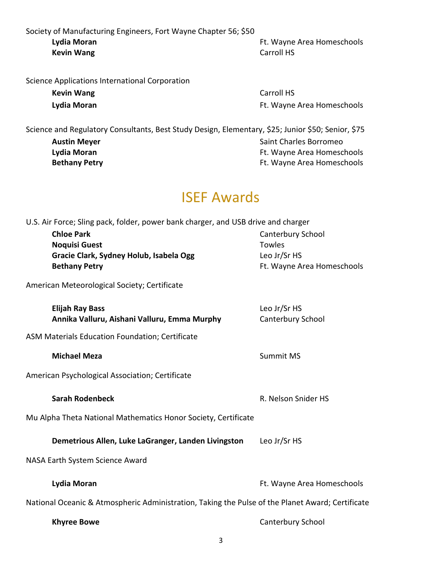Society of Manufacturing Engineers, Fort Wayne Chapter 56; \$50<br>Lydia Moran **Kevin Wang** Carroll HS

Ft. Wayne Area Homeschools

| <b>Kevin Wang</b> |  |
|-------------------|--|
| Lydia Moran       |  |

**Carroll HS Lydia Moran** Ft. Wayne Area Homeschools

| Science and Regulatory Consultants, Best Study Design, Elementary, \$25; Junior \$50; Senior, \$75 |                            |
|----------------------------------------------------------------------------------------------------|----------------------------|
| <b>Austin Meyer</b>                                                                                | Saint Charles Borromeo     |
| Lydia Moran                                                                                        | Ft. Wayne Area Homeschools |
| <b>Bethany Petry</b>                                                                               | Ft. Wayne Area Homeschools |
|                                                                                                    |                            |

## ISEF Awards

| U.S. Air Force; Sling pack, folder, power bank charger, and USB drive and charger                |                                            |
|--------------------------------------------------------------------------------------------------|--------------------------------------------|
| <b>Chloe Park</b>                                                                                | Canterbury School                          |
| <b>Noquisi Guest</b>                                                                             | <b>Towles</b>                              |
| Gracie Clark, Sydney Holub, Isabela Ogg<br><b>Bethany Petry</b>                                  | Leo Jr/Sr HS<br>Ft. Wayne Area Homeschools |
|                                                                                                  |                                            |
| American Meteorological Society; Certificate                                                     |                                            |
| <b>Elijah Ray Bass</b>                                                                           | Leo Jr/Sr HS                               |
| Annika Valluru, Aishani Valluru, Emma Murphy                                                     | Canterbury School                          |
| ASM Materials Education Foundation; Certificate                                                  |                                            |
| <b>Michael Meza</b>                                                                              | <b>Summit MS</b>                           |
| American Psychological Association; Certificate                                                  |                                            |
| <b>Sarah Rodenbeck</b>                                                                           | R. Nelson Snider HS                        |
| Mu Alpha Theta National Mathematics Honor Society, Certificate                                   |                                            |
| Demetrious Allen, Luke LaGranger, Landen Livingston                                              | Leo Jr/Sr HS                               |
| NASA Earth System Science Award                                                                  |                                            |
| Lydia Moran                                                                                      | Ft. Wayne Area Homeschools                 |
| National Oceanic & Atmospheric Administration, Taking the Pulse of the Planet Award; Certificate |                                            |
| <b>Khyree Bowe</b>                                                                               | Canterbury School                          |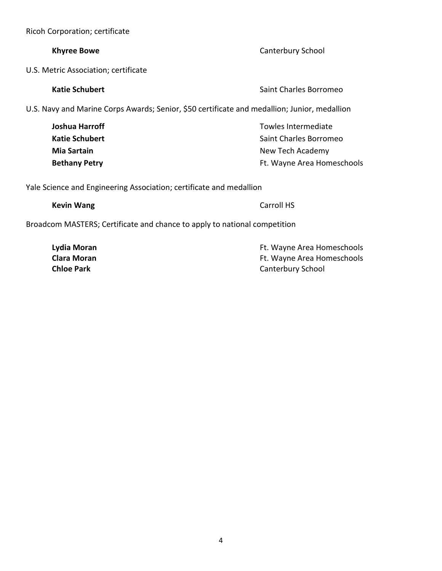4

Ricoh Corporation; certificate

#### **Khyree Bowe** Canterbury School

U.S. Metric Association; certificate

U.S. Navy and Marine Corps Awards; Senior, \$50 certificate and medallion; Junior, medallion

**Joshua Harroff** Towles Intermediate **Towles** Intermediate **Katie Schubert** Saint Charles Borromeo **Mia Sartain** New Tech Academy **Bethany Petry Example 20 Area Homeschools Ft. Wayne Area Homeschools** 

Yale Science and Engineering Association; certificate and medallion

Broadcom MASTERS; Certificate and chance to apply to national competition

**Lydia Moran Example 20 and 20 and 20 and 20 and 20 and 20 and 20 and 20 and 20 and 20 and 20 and 20 and 20 and 20 and 20 and 20 and 20 and 20 and 20 and 20 and 20 and 20 and 20 and 20 and 20 and 20 and 20 and 20 and 20 Clara Moran Clara Moran Ft. Wayne Area Homeschools Chloe Park** Canterbury School

**Katie Schubert Saint Charles Borromeo** Saint Charles Borromeo

**Kevin Wang** Carroll HS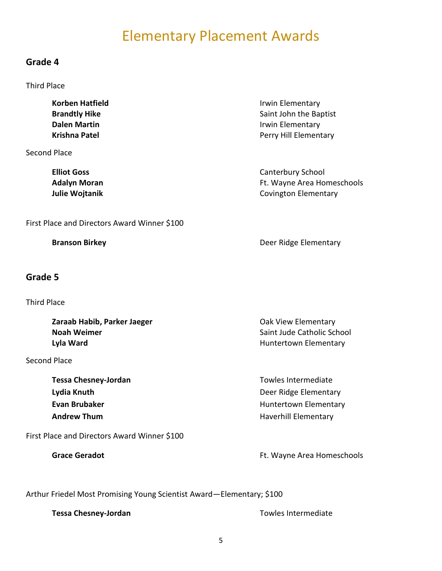## Elementary Placement Awards

#### **Grade 4**

Third Place

**Korben Hatfield Irwin Elementary Brandtly Hike** Saint John the Baptist **Dalen Martin Irwin Elementary Krishna Patel Perry Hill Elementary** Second Place

**Elliot Goss** Canterbury School **Adalyn Moran** Ft. Wayne Area Homeschools **Julie Wojtanik Covington Elementary Covington Elementary** 

First Place and Directors Award Winner \$100

#### **Grade 5**

Third Place

**Zaraab Habib, Parker Jaeger Canadian Exercise Serverse Canadian Cast View Elementary Noah Weimer Noah Weimer** Saint Jude Catholic School **Lyla Ward Huntertown Elementary Huntertown Elementary** 

Second Place

**Tessa Chesney-Jordan** Tessa Chesney-Jordan Tessa Chesney-Jordan Tessa Entermediate **Andrew Thum Andrew Thum Haverhill Elementary** 

First Place and Directors Award Winner \$100

**Branson Birkey New York Construction Construction Construction Construction Construction Construction Construction Construction Construction Construction Construction Construction Construction Construction Construction Co** 

**Lydia Knuth Deer Ridge Elementary Evan Brubaker Evan Brubaker Huntertown Elementary** 

Grace Geradot **Grace Geradot Ft. Wayne Area Homeschools** 

Arthur Friedel Most Promising Young Scientist Award—Elementary; \$100

**Tessa Chesney-Jordan** Towles Intermediate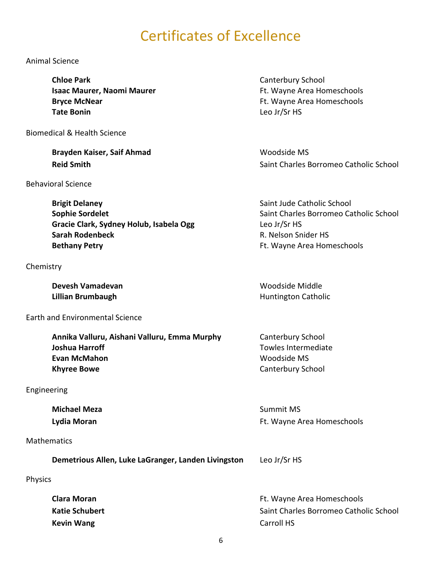# Certificates of Excellence

#### Animal Science

**Chloe Park** Canterbury School **Tate Bonin** Leo Jr/Sr HS

Biomedical & Health Science

**Brayden Kaiser, Saif Ahmad** Woodside MS

Behavioral Science

**Brigit Delaney Brigit Delaney Saint Jude Catholic School Sophie Sordelet** Saint Charles Borromeo Catholic School School School School School School School School School School School School School School School School School School School School School School School School Scho Gracie Clark, Sydney Holub, Isabela Ogg Leo Jr/Sr HS **Sarah Rodenbeck R. Nelson Snider HS Bethany Petry Example 20 and 20 and 20 and 20 and 20 and 20 and 20 and 20 and 20 and 20 and 20 and 20 and 20 and 20 and 20 and 20 and 20 and 20 and 20 and 20 and 20 and 20 and 20 and 20 and 20 and 20 and 20 and 20 and 2** 

#### Chemistry

**Devesh Vamadevan** Manus (Wamadevan Woodside Middle) **Lillian Brumbaugh Huntington Catholic Huntington Catholic** 

Earth and Environmental Science

**Annika Valluru, Aishani Valluru, Emma Murphy** Canterbury School **Joshua Harroff** Towles Intermediate **Towles Intermediate Evan McMahon** Woodside MS **Khyree Bowe** Canterbury School

#### Engineering

**Michael Meza** Summit MS

#### **Mathematics**

**Demetrious Allen, Luke LaGranger, Landen Livingston** Leo Jr/Sr HS

#### Physics

**Kevin Wang** Carroll HS

**Isaac Maurer, Naomi Maurer**  Ft. Wayne Area Homeschools **Bryce McNear** Ft. Wayne Area Homeschools

**Reid Smith Reid Smith** Saint Charles Borromeo Catholic School

**Lydia Moran Example 20 Inc.** The Control of the Control of the Control of the Control of the Control of the Control of the Control of the Control of the Control of the Control of the Control of the Control of the Contro

**Clara Moran Clara Moran Ft. Wayne Area Homeschools Katie Schubert** Saint Charles Borromeo Catholic School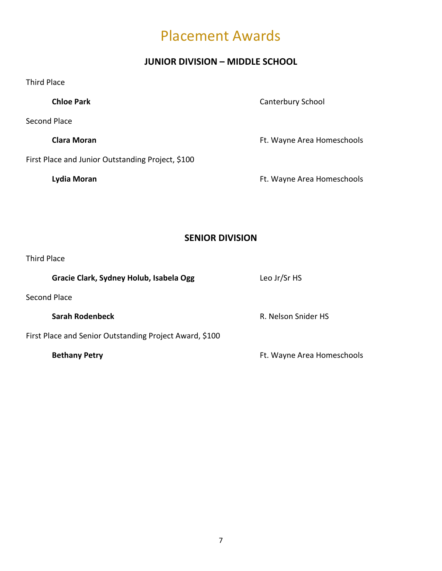## Placement Awards

### **JUNIOR DIVISION – MIDDLE SCHOOL**

| <b>Third Place</b>                                      |                            |
|---------------------------------------------------------|----------------------------|
| <b>Chloe Park</b>                                       | Canterbury School          |
| Second Place                                            |                            |
| <b>Clara Moran</b>                                      | Ft. Wayne Area Homeschools |
| First Place and Junior Outstanding Project, \$100       |                            |
| Lydia Moran                                             | Ft. Wayne Area Homeschools |
|                                                         |                            |
|                                                         |                            |
| <b>SENIOR DIVISION</b>                                  |                            |
| <b>Third Place</b>                                      |                            |
| Gracie Clark, Sydney Holub, Isabela Ogg                 | Leo Jr/Sr HS               |
| <b>Second Place</b>                                     |                            |
| <b>Sarah Rodenbeck</b>                                  | R. Nelson Snider HS        |
| First Place and Senior Outstanding Project Award, \$100 |                            |
| <b>Bethany Petry</b>                                    | Ft. Wayne Area Homeschools |